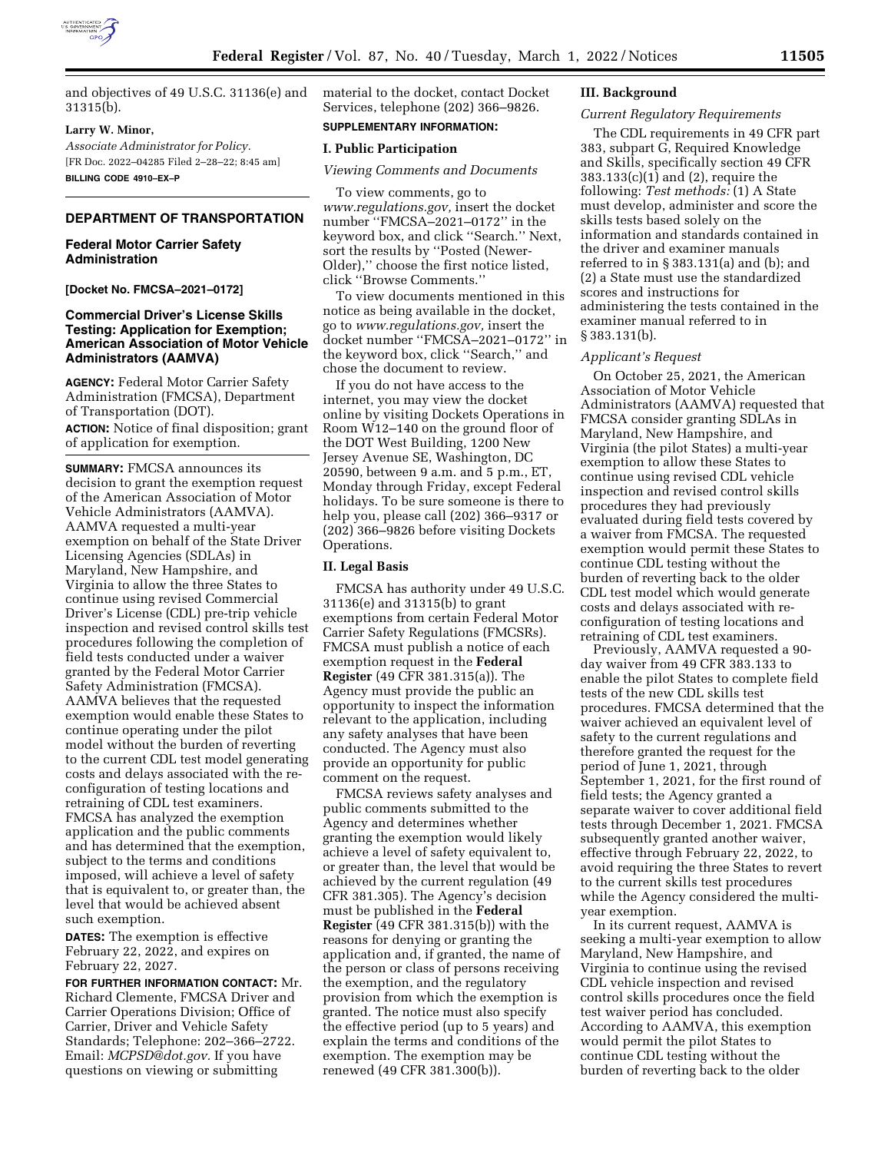

and objectives of 49 U.S.C. 31136(e) and 31315(b).

## **Larry W. Minor,**

*Associate Administrator for Policy.*  [FR Doc. 2022–04285 Filed 2–28–22; 8:45 am] **BILLING CODE 4910–EX–P** 

## **DEPARTMENT OF TRANSPORTATION**

## **Federal Motor Carrier Safety Administration**

**[Docket No. FMCSA–2021–0172]** 

# **Commercial Driver's License Skills Testing: Application for Exemption; American Association of Motor Vehicle Administrators (AAMVA)**

**AGENCY:** Federal Motor Carrier Safety Administration (FMCSA), Department of Transportation (DOT). **ACTION:** Notice of final disposition; grant of application for exemption.

**SUMMARY:** FMCSA announces its decision to grant the exemption request of the American Association of Motor Vehicle Administrators (AAMVA). AAMVA requested a multi-year exemption on behalf of the State Driver Licensing Agencies (SDLAs) in Maryland, New Hampshire, and Virginia to allow the three States to continue using revised Commercial Driver's License (CDL) pre-trip vehicle inspection and revised control skills test procedures following the completion of field tests conducted under a waiver granted by the Federal Motor Carrier Safety Administration (FMCSA). AAMVA believes that the requested exemption would enable these States to continue operating under the pilot model without the burden of reverting to the current CDL test model generating costs and delays associated with the reconfiguration of testing locations and retraining of CDL test examiners. FMCSA has analyzed the exemption application and the public comments and has determined that the exemption, subject to the terms and conditions imposed, will achieve a level of safety that is equivalent to, or greater than, the level that would be achieved absent such exemption.

**DATES:** The exemption is effective February 22, 2022, and expires on February 22, 2027.

**FOR FURTHER INFORMATION CONTACT:** Mr. Richard Clemente, FMCSA Driver and Carrier Operations Division; Office of Carrier, Driver and Vehicle Safety Standards; Telephone: 202–366–2722. Email: *[MCPSD@dot.gov.](mailto:MCPSD@dot.gov)* If you have questions on viewing or submitting

material to the docket, contact Docket Services, telephone (202) 366–9826. **SUPPLEMENTARY INFORMATION:** 

# **I. Public Participation**

### *Viewing Comments and Documents*

To view comments, go to *[www.regulations.gov,](http://www.regulations.gov)* insert the docket number ''FMCSA–2021–0172'' in the keyword box, and click ''Search.'' Next, sort the results by ''Posted (Newer-Older),'' choose the first notice listed, click ''Browse Comments.''

To view documents mentioned in this notice as being available in the docket, go to *[www.regulations.gov,](http://www.regulations.gov)* insert the docket number ''FMCSA–2021–0172'' in the keyword box, click ''Search,'' and chose the document to review.

If you do not have access to the internet, you may view the docket online by visiting Dockets Operations in Room W12–140 on the ground floor of the DOT West Building, 1200 New Jersey Avenue SE, Washington, DC 20590, between 9 a.m. and 5 p.m., ET, Monday through Friday, except Federal holidays. To be sure someone is there to help you, please call (202) 366–9317 or (202) 366–9826 before visiting Dockets Operations.

## **II. Legal Basis**

FMCSA has authority under 49 U.S.C. 31136(e) and 31315(b) to grant exemptions from certain Federal Motor Carrier Safety Regulations (FMCSRs). FMCSA must publish a notice of each exemption request in the **Federal Register** (49 CFR 381.315(a)). The Agency must provide the public an opportunity to inspect the information relevant to the application, including any safety analyses that have been conducted. The Agency must also provide an opportunity for public comment on the request.

FMCSA reviews safety analyses and public comments submitted to the Agency and determines whether granting the exemption would likely achieve a level of safety equivalent to, or greater than, the level that would be achieved by the current regulation (49 CFR 381.305). The Agency's decision must be published in the **Federal Register** (49 CFR 381.315(b)) with the reasons for denying or granting the application and, if granted, the name of the person or class of persons receiving the exemption, and the regulatory provision from which the exemption is granted. The notice must also specify the effective period (up to 5 years) and explain the terms and conditions of the exemption. The exemption may be renewed (49 CFR 381.300(b)).

## **III. Background**

## *Current Regulatory Requirements*

The CDL requirements in 49 CFR part 383, subpart G, Required Knowledge and Skills, specifically section 49 CFR 383.133(c)(1) and (2), require the following: *Test methods:* (1) A State must develop, administer and score the skills tests based solely on the information and standards contained in the driver and examiner manuals referred to in § 383.131(a) and (b); and (2) a State must use the standardized scores and instructions for administering the tests contained in the examiner manual referred to in § 383.131(b).

## *Applicant's Request*

On October 25, 2021, the American Association of Motor Vehicle Administrators (AAMVA) requested that FMCSA consider granting SDLAs in Maryland, New Hampshire, and Virginia (the pilot States) a multi-year exemption to allow these States to continue using revised CDL vehicle inspection and revised control skills procedures they had previously evaluated during field tests covered by a waiver from FMCSA. The requested exemption would permit these States to continue CDL testing without the burden of reverting back to the older CDL test model which would generate costs and delays associated with reconfiguration of testing locations and retraining of CDL test examiners.

Previously, AAMVA requested a 90 day waiver from 49 CFR 383.133 to enable the pilot States to complete field tests of the new CDL skills test procedures. FMCSA determined that the waiver achieved an equivalent level of safety to the current regulations and therefore granted the request for the period of June 1, 2021, through September 1, 2021, for the first round of field tests; the Agency granted a separate waiver to cover additional field tests through December 1, 2021. FMCSA subsequently granted another waiver, effective through February 22, 2022, to avoid requiring the three States to revert to the current skills test procedures while the Agency considered the multiyear exemption.

In its current request, AAMVA is seeking a multi-year exemption to allow Maryland, New Hampshire, and Virginia to continue using the revised CDL vehicle inspection and revised control skills procedures once the field test waiver period has concluded. According to AAMVA, this exemption would permit the pilot States to continue CDL testing without the burden of reverting back to the older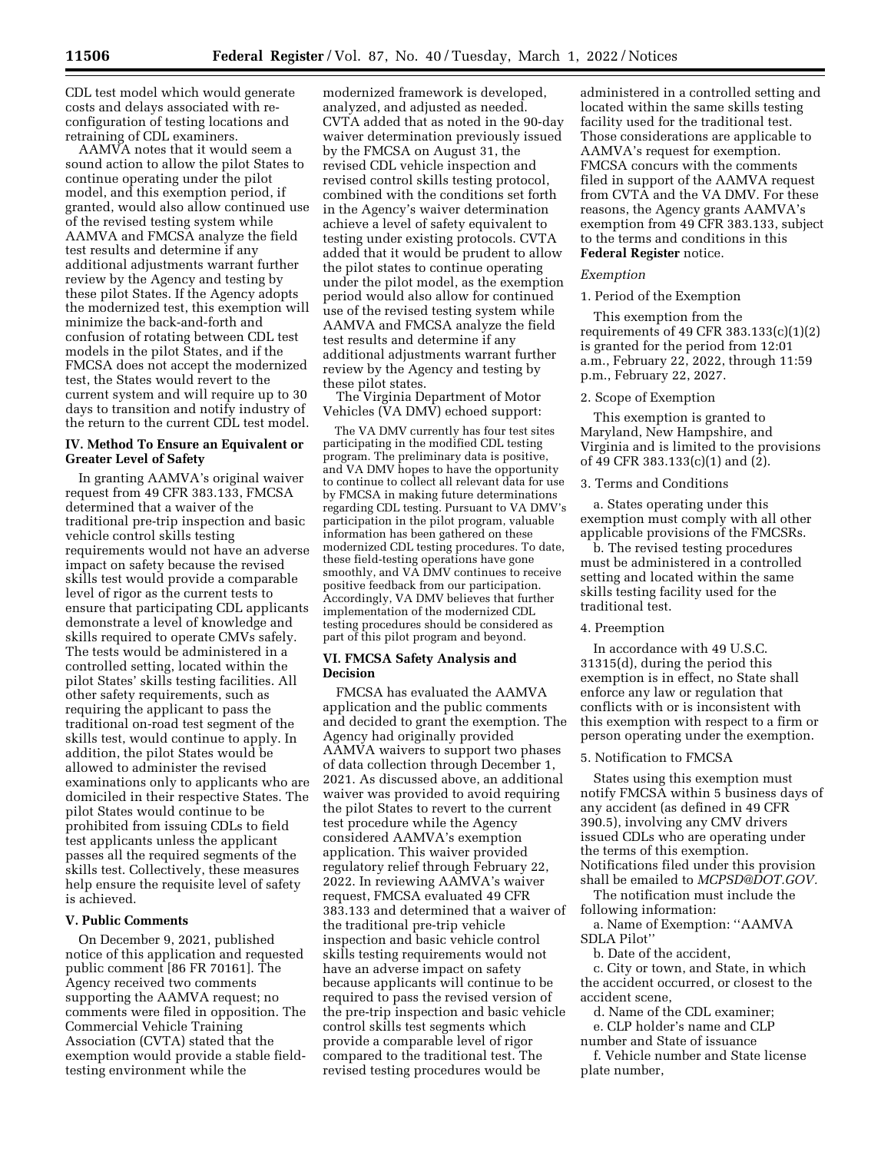CDL test model which would generate costs and delays associated with reconfiguration of testing locations and retraining of CDL examiners.

AAMVA notes that it would seem a sound action to allow the pilot States to continue operating under the pilot model, and this exemption period, if granted, would also allow continued use of the revised testing system while AAMVA and FMCSA analyze the field test results and determine if any additional adjustments warrant further review by the Agency and testing by these pilot States. If the Agency adopts the modernized test, this exemption will minimize the back-and-forth and confusion of rotating between CDL test models in the pilot States, and if the FMCSA does not accept the modernized test, the States would revert to the current system and will require up to 30 days to transition and notify industry of the return to the current CDL test model.

## **IV. Method To Ensure an Equivalent or Greater Level of Safety**

In granting AAMVA's original waiver request from 49 CFR 383.133, FMCSA determined that a waiver of the traditional pre-trip inspection and basic vehicle control skills testing requirements would not have an adverse impact on safety because the revised skills test would provide a comparable level of rigor as the current tests to ensure that participating CDL applicants demonstrate a level of knowledge and skills required to operate CMVs safely. The tests would be administered in a controlled setting, located within the pilot States' skills testing facilities. All other safety requirements, such as requiring the applicant to pass the traditional on-road test segment of the skills test, would continue to apply. In addition, the pilot States would be allowed to administer the revised examinations only to applicants who are domiciled in their respective States. The pilot States would continue to be prohibited from issuing CDLs to field test applicants unless the applicant passes all the required segments of the skills test. Collectively, these measures help ensure the requisite level of safety is achieved.

## **V. Public Comments**

On December 9, 2021, published notice of this application and requested public comment [86 FR 70161]. The Agency received two comments supporting the AAMVA request; no comments were filed in opposition. The Commercial Vehicle Training Association (CVTA) stated that the exemption would provide a stable fieldtesting environment while the

modernized framework is developed, analyzed, and adjusted as needed. CVTA added that as noted in the 90-day waiver determination previously issued by the FMCSA on August 31, the revised CDL vehicle inspection and revised control skills testing protocol, combined with the conditions set forth in the Agency's waiver determination achieve a level of safety equivalent to testing under existing protocols. CVTA added that it would be prudent to allow the pilot states to continue operating under the pilot model, as the exemption period would also allow for continued use of the revised testing system while AAMVA and FMCSA analyze the field test results and determine if any additional adjustments warrant further review by the Agency and testing by these pilot states.

The Virginia Department of Motor Vehicles (VA DMV) echoed support:

The VA DMV currently has four test sites participating in the modified CDL testing program. The preliminary data is positive, and VA DMV hopes to have the opportunity to continue to collect all relevant data for use by FMCSA in making future determinations regarding CDL testing. Pursuant to VA DMV's participation in the pilot program, valuable information has been gathered on these modernized CDL testing procedures. To date, these field-testing operations have gone smoothly, and VA DMV continues to receive positive feedback from our participation. Accordingly, VA DMV believes that further implementation of the modernized CDL testing procedures should be considered as part of this pilot program and beyond.

### **VI. FMCSA Safety Analysis and Decision**

FMCSA has evaluated the AAMVA application and the public comments and decided to grant the exemption. The Agency had originally provided AAMVA waivers to support two phases of data collection through December 1, 2021. As discussed above, an additional waiver was provided to avoid requiring the pilot States to revert to the current test procedure while the Agency considered AAMVA's exemption application. This waiver provided regulatory relief through February 22, 2022. In reviewing AAMVA's waiver request, FMCSA evaluated 49 CFR 383.133 and determined that a waiver of the traditional pre-trip vehicle inspection and basic vehicle control skills testing requirements would not have an adverse impact on safety because applicants will continue to be required to pass the revised version of the pre-trip inspection and basic vehicle control skills test segments which provide a comparable level of rigor compared to the traditional test. The revised testing procedures would be

administered in a controlled setting and located within the same skills testing facility used for the traditional test. Those considerations are applicable to AAMVA's request for exemption. FMCSA concurs with the comments filed in support of the AAMVA request from CVTA and the VA DMV. For these reasons, the Agency grants AAMVA's exemption from 49 CFR 383.133, subject to the terms and conditions in this **Federal Register** notice.

#### *Exemption*

# 1. Period of the Exemption

This exemption from the requirements of 49 CFR 383.133(c)(1)(2) is granted for the period from 12:01 a.m., February 22, 2022, through 11:59 p.m., February 22, 2027.

## 2. Scope of Exemption

This exemption is granted to Maryland, New Hampshire, and Virginia and is limited to the provisions of 49 CFR 383.133(c)(1) and (2).

## 3. Terms and Conditions

a. States operating under this exemption must comply with all other applicable provisions of the FMCSRs.

b. The revised testing procedures must be administered in a controlled setting and located within the same skills testing facility used for the traditional test.

## 4. Preemption

In accordance with 49 U.S.C. 31315(d), during the period this exemption is in effect, no State shall enforce any law or regulation that conflicts with or is inconsistent with this exemption with respect to a firm or person operating under the exemption.

# 5. Notification to FMCSA

States using this exemption must notify FMCSA within 5 business days of any accident (as defined in 49 CFR 390.5), involving any CMV drivers issued CDLs who are operating under the terms of this exemption. Notifications filed under this provision shall be emailed to *[MCPSD@DOT.GOV.](mailto:MCPSD@DOT.GOV)* 

The notification must include the following information:

a. Name of Exemption: ''AAMVA SDLA Pilot''

b. Date of the accident,

c. City or town, and State, in which the accident occurred, or closest to the accident scene,

d. Name of the CDL examiner; e. CLP holder's name and CLP

number and State of issuance

f. Vehicle number and State license plate number,